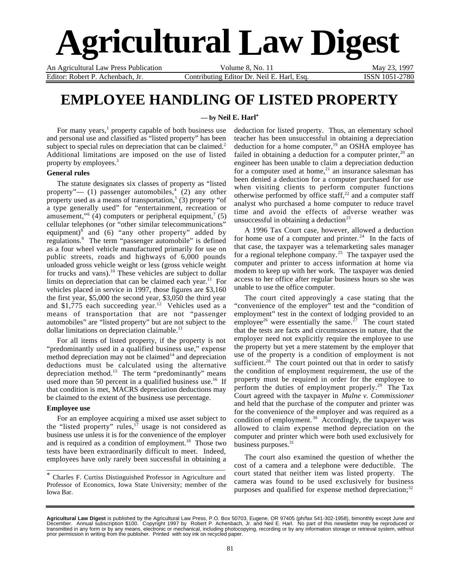# **Agricultural Law Digest**

An Agricultural Law Press Publication Volume 8, No. 11 May 23, 1997

Editor: Robert P. Achenbach, Jr. Contributing Editor Dr. Neil E. Harl, Esq. ISSN 1051-2780

## **EMPLOYEE HANDLING OF LISTED PROPERTY**

**— by Neil E. Harl\***

For many years,<sup>1</sup> property capable of both business use and personal use and classified as "listed property" has been subject to special rules on depreciation that can be claimed. $<sup>2</sup>$ </sup> Additional limitations are imposed on the use of listed property by employees.<sup>3</sup>

#### **General rules**

The statute designates six classes of property as "listed property"—  $(1)$  passenger automobiles,<sup>4</sup>  $(2)$  any other property used as a means of transportation,<sup>5</sup> (3) property "of a type generally used" for "entertainment, recreation or amusement,"<sup>6</sup> (4) computers or peripheral equipment,<sup>7</sup> (5) cellular telephones (or "other similar telecommunications" equipment)<sup>8</sup> and (6) "any other property" added by regulations.<sup>9</sup> The term "passenger automobile" is defined as a four wheel vehicle manufactured primarily for use on public streets, roads and highways of 6,000 pounds unloaded gross vehicle weight or less (gross vehicle weight for trucks and vans).<sup>10</sup> These vehicles are subject to dollar limits on depreciation that can be claimed each year.<sup>11</sup> For vehicles placed in service in 1997, those figures are \$3,160 the first year, \$5,000 the second year, \$3,050 the third year and  $$1,775$  each succeeding year.<sup>12</sup> Vehicles used as a means of transportation that are not "passenger automobiles" are "listed property" but are not subject to the dollar limitations on depreciation claimable.<sup>13</sup>

For all items of listed property, if the property is not "predominantly used in a qualified business use," expense method depreciation may not be claimed $14$  and depreciation deductions must be calculated using the alternative depreciation method.<sup>15</sup> The term "predominantly" means used more than 50 percent in a qualified business use.<sup>16</sup> If that condition is met, MACRS depreciation deductions may be claimed to the extent of the business use percentage.

#### **Employee use**

For an employee acquiring a mixed use asset subject to the "listed property" rules, $^{17}$  usage is not considered as business use unless it is for the convenience of the employer and is required as a condition of employment.<sup>18</sup> Those two tests have been extraordinarily difficult to meet. Indeed, employees have only rarely been successful in obtaining a

\* Charles F. Curtiss Distinguished Professor in Agriculture and Professor of Economics, Iowa State University; member of the Iowa Bar.

\_\_\_\_\_\_\_\_\_\_\_\_\_\_\_\_\_\_\_\_\_\_\_\_\_\_\_\_\_\_\_\_\_\_\_\_\_\_\_\_\_\_\_\_\_\_\_\_\_\_\_\_\_

deduction for listed property. Thus, an elementary school teacher has been unsuccessful in obtaining a depreciation deduction for a home computer, $19$  an OSHA employee has failed in obtaining a deduction for a computer printer, $20$  an engineer has been unable to claim a depreciation deduction for a computer used at home, $21$  an insurance salesman has been denied a deduction for a computer purchased for use when visiting clients to perform computer functions otherwise performed by office staff,<sup>22</sup> and a computer staff analyst who purchased a home computer to reduce travel time and avoid the effects of adverse weather was unsuccessful in obtaining a deduction<sup>23</sup>

A 1996 Tax Court case, however, allowed a deduction for home use of a computer and printer.<sup>24</sup> In the facts of that case, the taxpayer was a telemarketing sales manager for a regional telephone company.<sup>25</sup> The taxpayer used the computer and printer to access information at home via modem to keep up with her work. The taxpayer was denied access to her office after regular business hours so she was unable to use the office computer.

The court cited approvingly a case stating that the "convenience of the employer" test and the "condition of employment" test in the context of lodging provided to an employee<sup>26</sup> were essentially the same.<sup>27</sup> The court stated that the tests are facts and circumstances in nature, that the employer need not explicitly require the employee to use the property but yet a mere statement by the employer that use of the property is a condition of employment is not sufficient. $28$  The court pointed out that in order to satisfy the condition of employment requirement, the use of the property must be required in order for the employee to perform the duties of employment properly.<sup>29</sup> The Tax Court agreed with the taxpayer in *Mulne v. Commissioner* and held that the purchase of the computer and printer was for the convenience of the employer and was required as a condition of employment.<sup>30</sup> Accordingly, the taxpayer was allowed to claim expense method depreciation on the computer and printer which were both used exclusively for business purposes.<sup>31</sup>

The court also examined the question of whether the cost of a camera and a telephone were deductible. The court stated that neither item was listed property. The camera was found to be used exclusively for business purposes and qualified for expense method depreciation; $32$ 

**Agricultural Law Digest** is published by the Agricultural Law Press, P.O. Box 50703, Eugene, OR 97405 (ph/fax 541-302-1958), bimonthly except June and<br>December. Annual subscription \$100. Copyright 1997 by Robert P. Achenb transmitted in any form or by any means, electronic or mechanical, including photocopying, recording or by any information storage or retrieval system, without<br>prior permission in writing from the publisher. Printed with